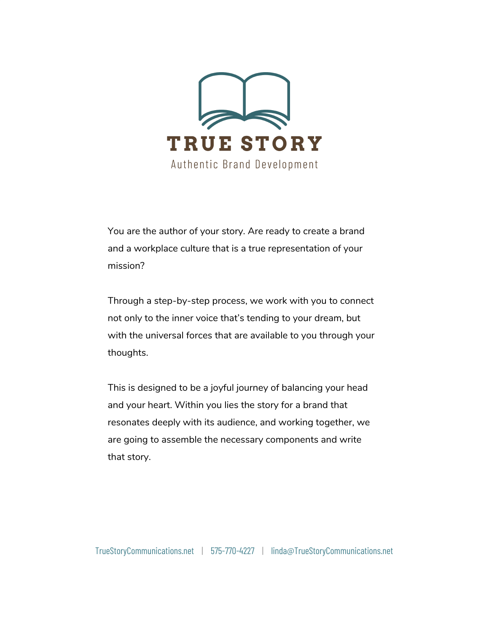

You are the author of your story. Are ready to create a brand and a workplace culture that is a true representation of your mission?

Through a step-by-step process, we work with you to connect not only to the inner voice that's tending to your dream, but with the universal forces that are available to you through your thoughts.

This is designed to be a joyful journey of balancing your head and your heart. Within you lies the story for a brand that resonates deeply with its audience, and working together, we are going to assemble the necessary components and write that story.

[TrueStoryCommunications.net](http://www.truestorycommunications.net/) | 575-770-4227 | linda@TrueStoryCommunications.net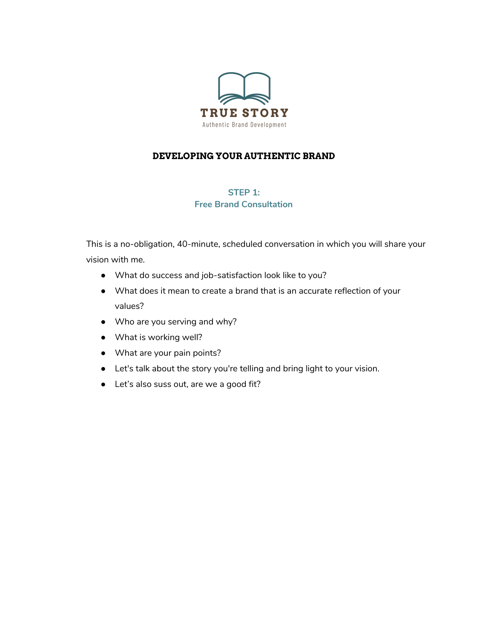

# **DEVELOPING YOUR AUTHENTIC BRAND**

# **STEP 1: Free Brand Consultation**

This is a no-obligation, 40-minute, scheduled conversation in which you will share your vision with me.

- What do success and job-satisfaction look like to you?
- What does it mean to create a brand that is an accurate reflection of your values?
- Who are you serving and why?
- What is working well?
- What are your pain points?
- Let's talk about the story you're telling and bring light to your vision.
- Let's also suss out, are we a good fit?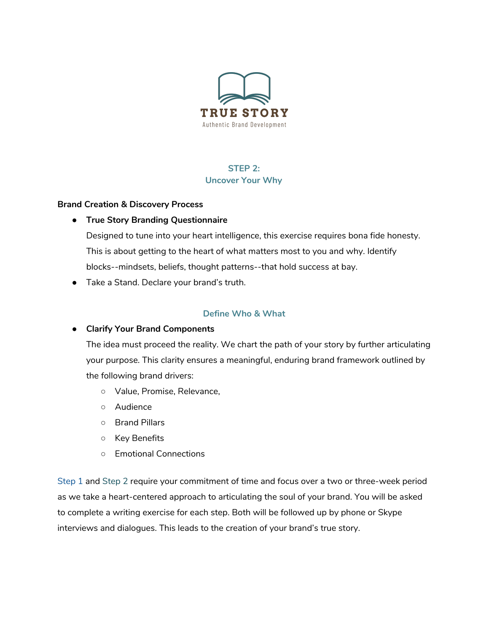

# **STEP 2: Uncover Your Why**

#### **Brand Creation & Discovery Process**

**● True Story Branding Questionnaire**

Designed to tune into your heart intelligence, this exercise requires bona fide honesty. This is about getting to the heart of what matters most to you and why. Identify blocks--mindsets, beliefs, thought patterns--that hold success at bay.

● Take a Stand. Declare your brand's truth.

## **Define Who & What**

#### **● Clarify Your Brand Components**

The idea must proceed the reality. We chart the path of your story by further articulating your purpose. This clarity ensures a meaningful, enduring brand framework outlined by the following brand drivers:

- Value, Promise, Relevance,
- Audience
- Brand Pillars
- Key Benefits
- Emotional Connections

Step 1 and Step 2 require your commitment of time and focus over a two or three-week period as we take a heart-centered approach to articulating the soul of your brand. You will be asked to complete a writing exercise for each step. Both will be followed up by phone or Skype interviews and dialogues. This leads to the creation of your brand's true story.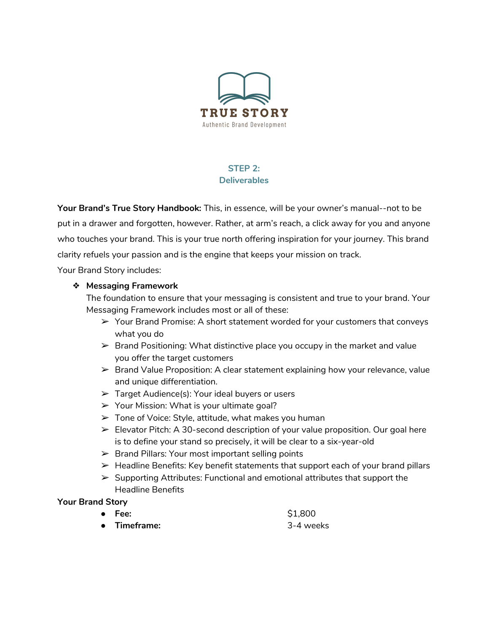

# **STEP 2: Deliverables**

**Your Brand's True Story Handbook:** This, in essence, will be your owner's manual--not to be put in a drawer and forgotten, however. Rather, at arm's reach, a click away for you and anyone who touches your brand. This is your true north offering inspiration for your journey. This brand clarity refuels your passion and is the engine that keeps your mission on track.

Your Brand Story includes:

#### ❖ **Messaging Framework**

The foundation to ensure that your messaging is consistent and true to your brand. Your Messaging Framework includes most or all of these:

- $\triangleright$  Your Brand Promise: A short statement worded for your customers that conveys what you do
- $\triangleright$  Brand Positioning: What distinctive place you occupy in the market and value you offer the target customers
- $\triangleright$  Brand Value Proposition: A clear statement explaining how your relevance, value and unique differentiation.
- $\triangleright$  Target Audience(s): Your ideal buyers or users
- ➢ Your Mission: What is your ultimate goal?
- ➢ Tone of Voice: Style, attitude, what makes you human
- $\triangleright$  Elevator Pitch: A 30-second description of your value proposition. Our goal here is to define your stand so precisely, it will be clear to a six-year-old
- $\triangleright$  Brand Pillars: Your most important selling points
- $\triangleright$  Headline Benefits: Key benefit statements that support each of your brand pillars
- ➢ Supporting Attributes: Functional and emotional attributes that support the Headline Benefits

#### **Your Brand Story**

| $\bullet$ Fee: | \$1,800   |
|----------------|-----------|
| • Timeframe:   | 3-4 weeks |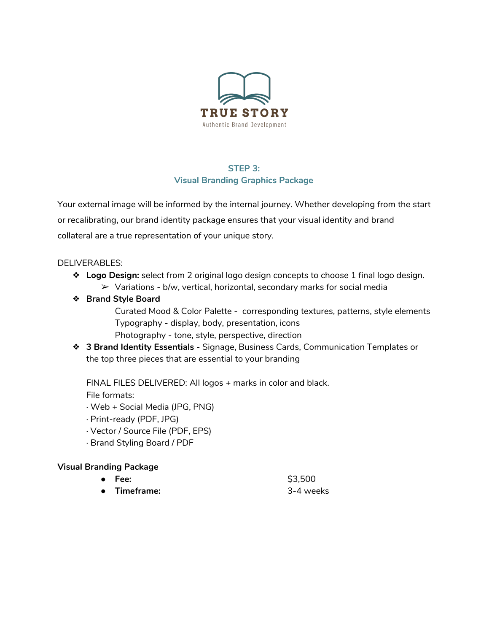

# **STEP 3: Visual Branding Graphics Package**

Your external image will be informed by the internal journey. Whether developing from the start or recalibrating, our brand identity package ensures that your visual identity and brand collateral are a true representation of your unique story.

### DELIVERABLES:

- ❖ **Logo Design:** select from 2 original logo design concepts to choose 1 final logo design.
	- $\triangleright$  Variations b/w, vertical, horizontal, secondary marks for social media
- ❖ **Brand Style Board**

Curated Mood & Color Palette - corresponding textures, patterns, style elements Typography - display, body, presentation, icons Photography - tone, style, perspective, direction

❖ **3 Brand Identity Essentials** - Signage, Business Cards, Communication Templates or the top three pieces that are essential to your branding

FINAL FILES DELIVERED: All logos + marks in color and black.

File formats:

- · Web + Social Media (JPG, PNG)
- · Print-ready (PDF, JPG)
- · Vector / Source File (PDF, EPS)
- · Brand Styling Board / PDF

## **Visual Branding Package**

| $\bullet$ Fee:    | \$3,500   |
|-------------------|-----------|
| <b>Timeframe:</b> | 3-4 weeks |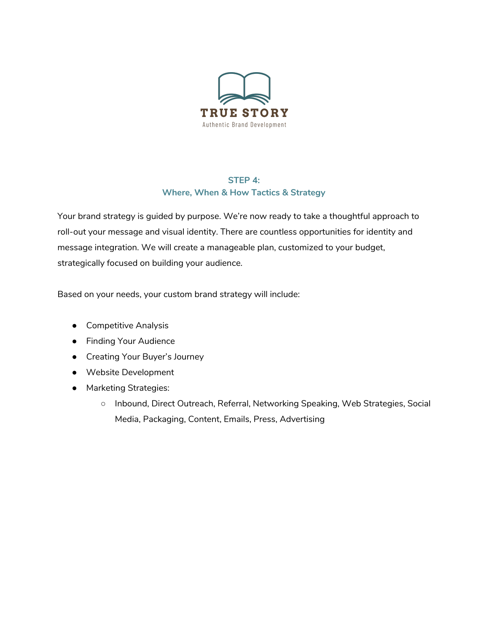

### **STEP 4: Where, When & How Tactics & Strategy**

Your brand strategy is guided by purpose. We're now ready to take a thoughtful approach to roll-out your message and visual identity. There are countless opportunities for identity and message integration. We will create a manageable plan, customized to your budget, strategically focused on building your audience.

Based on your needs, your custom brand strategy will include:

- Competitive Analysis
- Finding Your Audience
- Creating Your Buyer's Journey
- Website Development
- Marketing Strategies:
	- Inbound, Direct Outreach, Referral, Networking Speaking, Web Strategies, Social Media, Packaging, Content, Emails, Press, Advertising